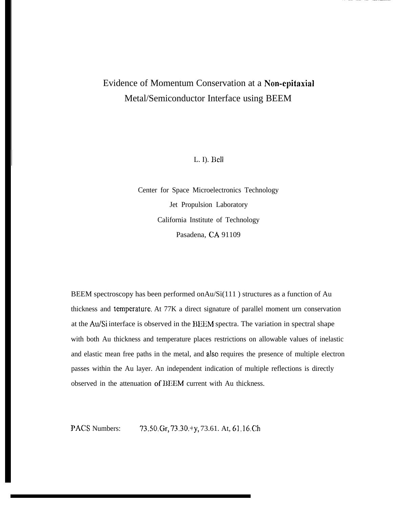## Evidence of Momentum Conservation at a Non-epitaxial Metal/Semiconductor Interface using BEEM

L. I). **Be]]**

Center for Space Microelectronics Technology Jet Propulsion Laboratory California Institute of Technology Pasadena, CA 91109

BEEM spectroscopy has been performed onAu/Si(111 ) structures as a function of Au thickness and temperature. At 77K a direct signature of parallel moment urn conservation at the Au/Si interface is observed in the BIEM spectra. The variation in spectral shape with both Au thickness and temperature places restrictions on allowable values of inelastic and elastic mean free paths in the metal, and also requires the presence of multiple electron passes within the Au layer. An independent indication of multiple reflections is directly observed in the attenuation of DEEM current with Au thickness.

PACS Numbers: 73.50.Gr, 73.30.+y, 73.61. At, 61.16.Ch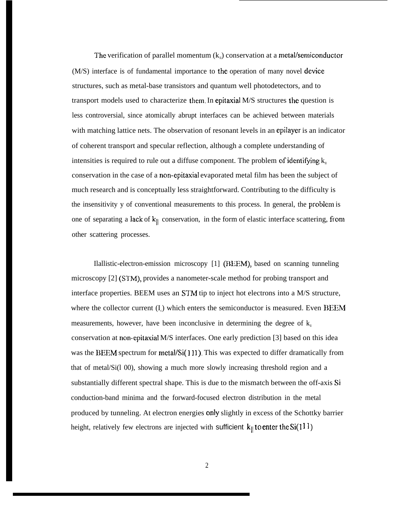The verification of parallel momentum  $(k_{\shortparallel})$  conservation at a metal/semiconductor (M/S) interface is of fundamental importance to the operation of many novel device structures, such as metal-base transistors and quantum well photodetectors, and to transport models used to characterize them. In epitaxial  $M/S$  structures the question is less controversial, since atomically abrupt interfaces can be achieved between materials with matching lattice nets. The observation of resonant levels in an epilayer is an indicator of coherent transport and specular reflection, although a complete understanding of intensities is required to rule out a diffuse component. The problem of identifying  $k_{\parallel}$ conservation in the case of a non-epitaxial evaporated metal film has been the subject of much research and is conceptually less straightforward. Contributing to the difficulty is the insensitivity y of conventional measurements to this process. In general, the problem is one of separating a lack of  $k_{\parallel}$  conservation, in the form of elastic interface scattering, from other scattering processes.

Ilallistic-electron-emission microscopy [1] @EEM), based on scanning tunneling microscopy [2] (STM), provides a nanometer-scale method for probing transport and interface properties. BEEM uses an STM tip to inject hot electrons into a M/S structure, where the collector current  $(I_c)$  which enters the semiconductor is measured. Even BEEM measurements, however, have been inconclusive in determining the degree of  $k_{\parallel}$ conservation at non-epitaxial M/S interfaces. One early prediction [3] based on this idea was the BEEM spectrum for metal/ $Si(111)$ . This was expected to differ dramatically from that of metal/Si(l 00), showing a much more slowly increasing threshold region and a substantially different spectral shape. This is due to the mismatch between the off-axis Si conduction-band minima and the forward-focused electron distribution in the metal produced by tunneling. At electron energies only slightly in excess of the Schottky barrier height, relatively few electrons are injected with sufficient  $k_{\parallel}$  to enter the Si(111)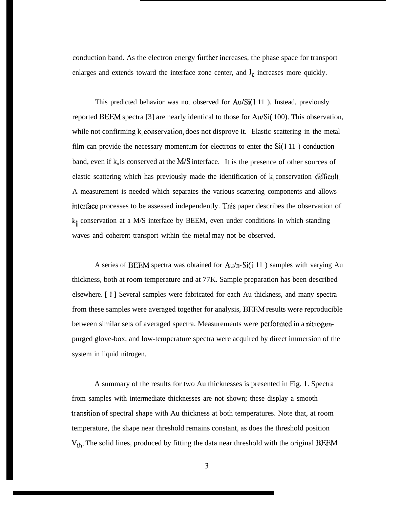conduction band. As the electron energy fllrthcr increases, the phase space for transport enlarges and extends toward the interface zone center, and  $I_c$  increases more quickly.

This predicted behavior was not observed for Au/Si(111). Instead, previously reported BEEM spectra [3] are nearly identical to those for Au/Si( 100). This observation, while not confirming  $k_n$  conservation, does not disprove it. Elastic scattering in the metal film can provide the necessary momentum for electrons to enter the  $Si(111)$  conduction band, even if  $k_{\parallel}$  is conserved at the M/S interface. It is the presence of other sources of elastic scattering which has previously made the identification of  $k_n$  conservation difficult. A measurement is needed which separates the various scattering components and allows interface processes to be assessed independently. This paper describes the observation of  $k_{\parallel}$  conservation at a M/S interface by BEEM, even under conditions in which standing waves and coherent transport within the metal may not be observed.

A series of BEEM spectra was obtained for  $Au/h-Si(111)$  samples with varying Au thickness, both at room temperature and at 77K. Sample preparation has been described elsewhere. [ 1 ] Several samples were fabricated for each Au thickness, and many spectra from these samples were averaged together for analysis, BEEM results were reproducible between similar sets of averaged spectra. Measurements were performed in a nitrogenpurged glove-box, and low-temperature spectra were acquired by direct immersion of the system in liquid nitrogen.

A summary of the results for two Au thicknesses is presented in Fig. 1. Spectra from samples with intermediate thicknesses are not shown; these display a smooth transition of spectral shape with Au thickness at both temperatures. Note that, at room temperature, the shape near threshold remains constant, as does the threshold position  $V_{th}$ . The solid lines, produced by fitting the data near threshold with the original BEEM

I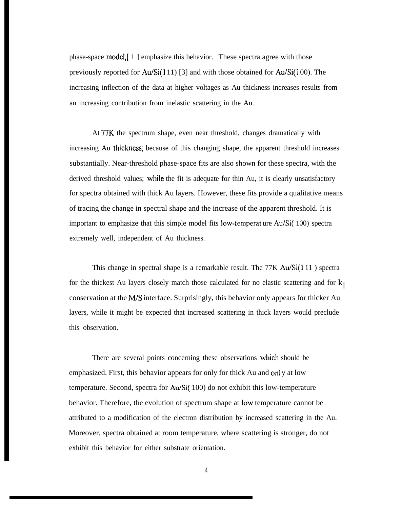phase-space model,[ 1 ] emphasize this behavior. These spectra agree with those previously reported for  $Au/Si(111)$  [3] and with those obtained for  $Au/Si(100)$ . The increasing inflection of the data at higher voltages as Au thickness increases results from an increasing contribution from inelastic scattering in the Au.

At 77K the spectrum shape, even near threshold, changes dramatically with increasing Au thickness; because of this changing shape, the apparent threshold increases substantially. Near-threshold phase-space fits are also shown for these spectra, with the derived threshold values; while the fit is adequate for thin Au, it is clearly unsatisfactory for spectra obtained with thick Au layers. However, these fits provide a qualitative means of tracing the change in spectral shape and the increase of the apparent threshold. It is important to emphasize that this simple model fits low-ternperat ure Au/Si( 100) spectra extremely well, independent of Au thickness.

This change in spectral shape is a remarkable result. The  $77K \text{ Au/Si}(111)$  spectra for the thickest Au layers closely match those calculated for no elastic scattering and for  $k_{\parallel}$ conservation at the  $M/S$  interface. Surprisingly, this behavior only appears for thicker Au layers, while it might be expected that increased scattering in thick layers would preclude this observation.

There are several points concerning these observations which should be emphasized. First, this behavior appears for only for thick Au and only at low temperature. Second, spectra for Au/Si( 100) do not exhibit this low-temperature behavior. Therefore, the evolution of spectrum shape at low temperature cannot be attributed to a modification of the electron distribution by increased scattering in the Au. Moreover, spectra obtained at room temperature, where scattering is stronger, do not exhibit this behavior for either substrate orientation.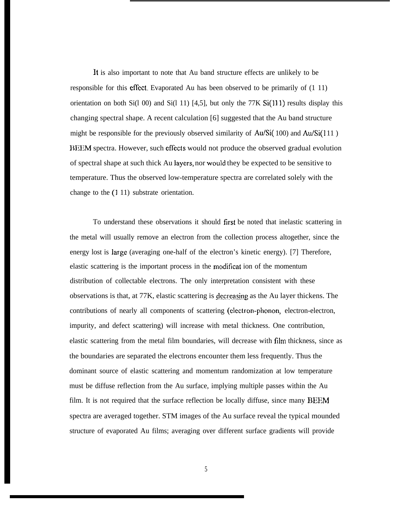It is also important to note that Au band structure effects are unlikely to be responsible for this eflect. Evaporated Au has been observed to be primarily of (1 11) orientation on both Si(1 00) and Si(1 11) [4,5], but only the 77K Si(111) results display this changing spectral shape. A recent calculation [6] suggested that the Au band structure might be responsible for the previously observed similarity of  $Au/Si(100)$  and  $Au/Si(111)$ BEEM spectra. However, such eflects would not produce the observed gradual evolution of spectral shape at such thick Au Jayers, nor would they be expected to be sensitive to temperature. Thus the observed low-temperature spectra are correlated solely with the change to the (1 11) substrate orientation.

To understand these observations it should first be noted that inelastic scattering in the metal will usually remove an electron from the collection process altogether, since the energy lost is large (averaging one-half of the electron's kinetic energy). [7] Therefore, elastic scattering is the important process in the rnodificat ion of the momentum distribution of collectable electrons. The only interpretation consistent with these observations is that, at 77K, elastic scattering is decreasing as the Au layer thickens. The contributions of nearly all components of scattering (electron-phonon, electron-electron, impurity, and defect scattering) will increase with metal thickness. One contribution, elastic scattering from the metal film boundaries, will decrease with film thickness, since as the boundaries are separated the electrons encounter them less frequently. Thus the dominant source of elastic scattering and momentum randomization at low temperature must be diffuse reflection from the Au surface, implying multiple passes within the Au film. It is not required that the surface reflection be locally diffuse, since many  $BEEM$ spectra are averaged together. STM images of the Au surface reveal the typical mounded structure of evaporated Au films; averaging over different surface gradients will provide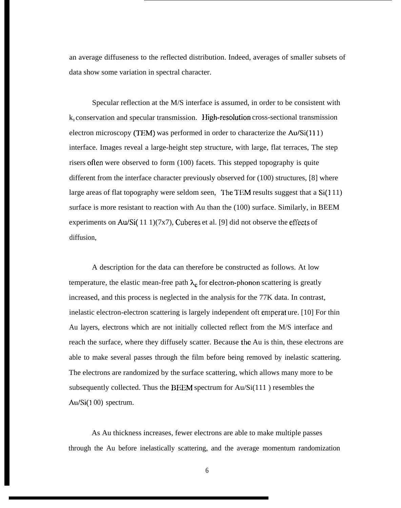an average diffuseness to the reflected distribution. Indeed, averages of smaller subsets of data show some variation in spectral character.

Specular reflection at the M/S interface is assumed, in order to be consistent with  $k_{\parallel}$  conservation and specular transmission. High-resolution cross-sectional transmission electron microscopy (TEM) was performed in order to characterize the  $Au/Si(111)$ interface. Images reveal a large-height step structure, with large, flat terraces, The step risers ofien were observed to form (100) facets. This stepped topography is quite different from the interface character previously observed for (100) structures, [8] where large areas of flat topography were seldom seen, The TEM results suggest that a  $Si(111)$ surface is more resistant to reaction with Au than the (100) surface. Similarly, in BEEM experiments on Au/Si( 11 1)(7x7), Cuberes et al. [9] did not observe the efiects of diffusion,

A description for the data can therefore be constructed as follows. At low temperature, the elastic mean-free path  $\lambda_e$  for electron-phonon scattering is greatly increased, and this process is neglected in the analysis for the 77K data. In contrast, inelastic electron-electron scattering is largely independent oft emperat ure. [10] For thin Au layers, electrons which are not initially collected reflect from the M/S interface and reach the surface, where they diffusely scatter. Because the Au is thin, these electrons are able to make several passes through the film before being removed by inelastic scattering. The electrons are randomized by the surface scattering, which allows many more to be subsequently collected. Thus the BEEM spectrum for Au/Si(111 ) resembles the Au/Si(100) spectrum.

As Au thickness increases, fewer electrons are able to make multiple passes through the Au before inelastically scattering, and the average momentum randomization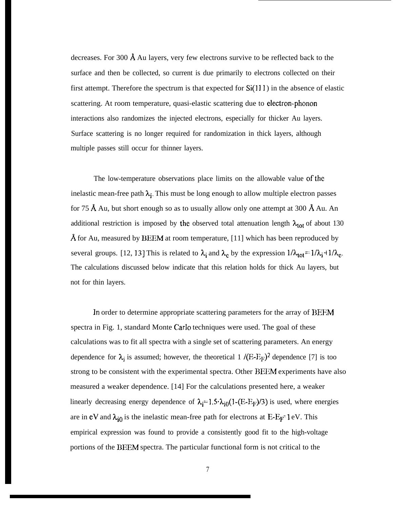decreases. For 300 Å Au layers, very few electrons survive to be reflected back to the surface and then be collected, so current is due primarily to electrons collected on their first attempt. Therefore the spectrum is that expected for  $Si(111)$  in the absence of elastic scattering. At room temperature, quasi-elastic scattering due to electron-phonon interactions also randomizes the injected electrons, especially for thicker Au layers. Surface scattering is no longer required for randomization in thick layers, although multiple passes still occur for thinner layers.

The low-temperature observations place limits on the allowable value of the inelastic mean-free path  $\lambda_i$ . This must be long enough to allow multiple electron passes for 75 Å Au, but short enough so as to usually allow only one attempt at 300 Å Au. An additional restriction is imposed by the observed total attenuation length  $\lambda_{tot}$  of about 130 Å for Au, measured by BEEM at room temperature, [11] which has been reproduced by several groups. [12, 13] This is related to  $\lambda_i$  and  $\lambda_c$  by the expression  $1/\lambda_{tot} = 1/\lambda_i + 1/\lambda_c$ . The calculations discussed below indicate that this relation holds for thick Au layers, but not for thin layers.

In order to determine appropriate scattering parameters for the array of BEEM spectra in Fig. 1, standard Monte Carlo techniques were used. The goal of these calculations was to fit all spectra with a single set of scattering parameters. An energy dependence for  $\lambda_j$  is assumed; however, the theoretical 1 /(E-E<sub>F</sub>)<sup>2</sup> dependence [7] is too strong to be consistent with the experimental spectra. Other BEEM experiments have also measured a weaker dependence. [14] For the calculations presented here, a weaker linearly decreasing energy dependence of  $\lambda_i=1.5\cdot\lambda_{i0}(1-(E-E_F)/3)$  is used, where energies are in eV and  $\lambda_{i0}$  is the inelastic mean-free path for electrons at E-E<sub>P</sub>-1 eV. This empirical expression was found to provide a consistently good fit to the high-voltage portions of the BEEM spectra. The particular functional form is not critical to the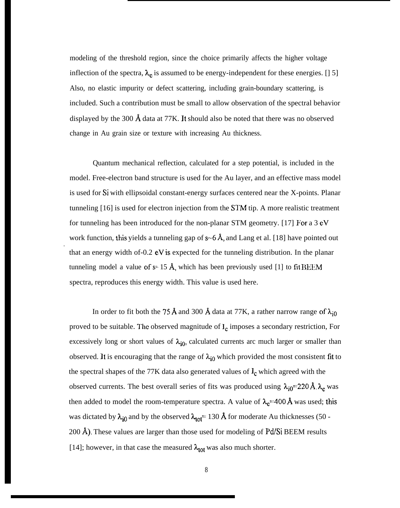modeling of the threshold region, since the choice primarily affects the higher voltage inflection of the spectra,  $\lambda_e$  is assumed to be energy-independent for these energies. [] 5] Also, no elastic impurity or defect scattering, including grain-boundary scattering, is included. Such a contribution must be small to allow observation of the spectral behavior displayed by the 300  $\AA$  data at 77K. It should also be noted that there was no observed change in Au grain size or texture with increasing Au thickness.

Quantum mechanical reflection, calculated for a step potential, is included in the model. Free-electron band structure is used for the Au layer, and an effective mass model is used for Si with ellipsoidal constant-energy surfaces centered near the X-points. Planar tunneling [16] is used for electron injection from the STM tip. A more realistic treatment for tunneling has been introduced for the non-planar STM geometry. [17] For a  $3 \text{ eV}$ work function, this yields a tunneling gap of  $s$  –6 Å, and Lang et al. [18] have pointed out that an energy width of-0.2 eV is expected for the tunneling distribution. In the planar tunneling model a value of  $s= 15$  Å, which has been previously used [1] to fit BEEM spectra, reproduces this energy width. This value is used here.

.

In order to fit both the 75 Å and 300 Å data at 77K, a rather narrow range of  $\lambda_{i0}$ proved to be suitable. The observed magnitude of  $I_c$  imposes a secondary restriction, For excessively long or short values of  $\lambda_{i0}$ , calculated currents arc much larger or smaller than observed. It is encouraging that the range of  $\lambda_{i0}$  which provided the most consistent fit to the spectral shapes of the 77K data also generated values of  $I_c$  which agreed with the observed currents. The best overall series of fits was produced using  $\lambda_{i0}=220 ~\text{\AA}$ .  $\lambda_c$  was then added to model the room-temperature spectra. A value of  $\lambda_c=400 \text{ Å}$  was used; this was dictated by  $\lambda_{i0}$  and by the observed  $\lambda_{tot}$  = 130 Å for moderate Au thicknesses (50 -200 Å). These values are larger than those used for modeling of  $Pd/Si$  BEEM results [14]; however, in that case the measured  $\lambda_{tot}$  was also much shorter.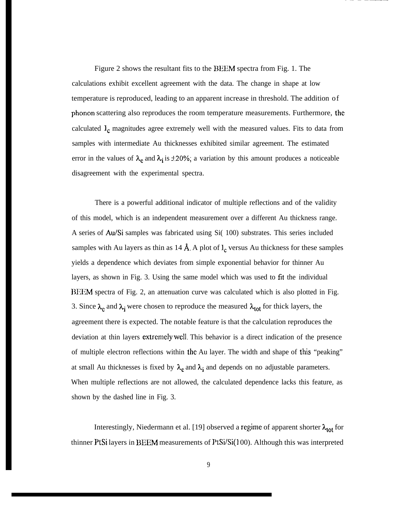Figure 2 shows the resultant fits to the BEEM spectra from Fig. 1. The calculations exhibit excellent agreement with the data. The change in shape at low temperature is reproduced, leading to an apparent increase in threshold. The addition of phonon scattering also reproduces the room temperature measurements. Furthermore, the calculated  $I_c$  magnitudes agree extremely well with the measured values. Fits to data from samples with intermediate Au thicknesses exhibited similar agreement. The estimated error in the values of  $\lambda_e$  and  $\lambda_i$  is  $\pm 20\%$ ; a variation by this amount produces a noticeable disagreement with the experimental spectra.

There is a powerful additional indicator of multiple reflections and of the validity of this model, which is an independent measurement over a different Au thickness range. A series of Au/Si samples was fabricated using Si( 100) substrates. This series included samples with Au layers as thin as 14 Å. A plot of  $I_c$  versus Au thickness for these samples yields a dependence which deviates from simple exponential behavior for thinner Au layers, as shown in Fig. 3. Using the same model which was used to fit the individual BEEM spectra of Fig. 2, an attenuation curve was calculated which is also plotted in Fig. 3. Since  $\lambda_e$  and  $\lambda_i$  were chosen to reproduce the measured  $\lambda_{tot}$  for thick layers, the agreement there is expected. The notable feature is that the calculation reproduces the deviation at thin layers extremely well. This behavior is a direct indication of the presence of multiple electron reflections within the Au layer. The width and shape of this "peaking" at small Au thicknesses is fixed by  $\lambda_c$  and  $\lambda_i$  and depends on no adjustable parameters. When multiple reflections are not allowed, the calculated dependence lacks this feature, as shown by the dashed line in Fig. 3.

Interestingly, Niedermann et al. [19] observed a regime of apparent shorter  $\lambda_{tot}$  for thinner PtSi layers in BEEM measurements of PtSi/Si(l 00). Although this was interpreted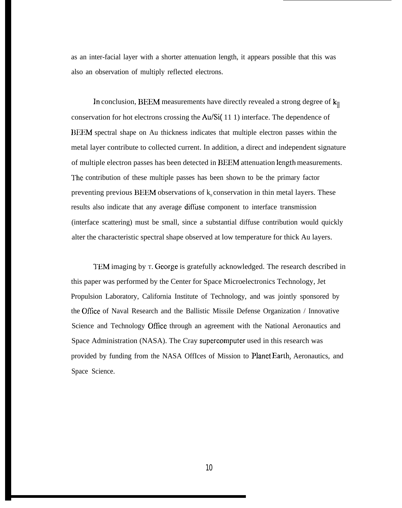as an inter-facial layer with a shorter attenuation length, it appears possible that this was also an observation of multiply reflected electrons.

In conclusion, BEEM measurements have directly revealed a strong degree of  $k_{\parallel}$ conservation for hot electrons crossing the Au/Si( 11 1) interface. The dependence of BEEM spectral shape on Au thickness indicates that multiple electron passes within the metal layer contribute to collected current. In addition, a direct and independent signature of multiple electron passes has been detected in BEEM attenuation length measurements. The contribution of these multiple passes has been shown to be the primary factor preventing previous BEEM observations of  $k_{\parallel}$  conservation in thin metal layers. These results also indicate that any average diffuse component to interface transmission (interface scattering) must be small, since a substantial diffuse contribution would quickly alter the characteristic spectral shape observed at low temperature for thick Au layers.

TEM imaging by T. George is gratefully acknowledged. The research described in this paper was performed by the Center for Space Microelectronics Technology, Jet Propulsion Laboratory, California Institute of Technology, and was jointly sponsored by the Ofllce of Naval Research and the Ballistic Missile Defense Organization / Innovative Science and Technology OfTice through an agreement with the National Aeronautics and Space Administration (NASA). The Cray supercomputer used in this research was provided by funding from the NASA OffIces of Mission to Planet Earth, Aeronautics, and Space Science.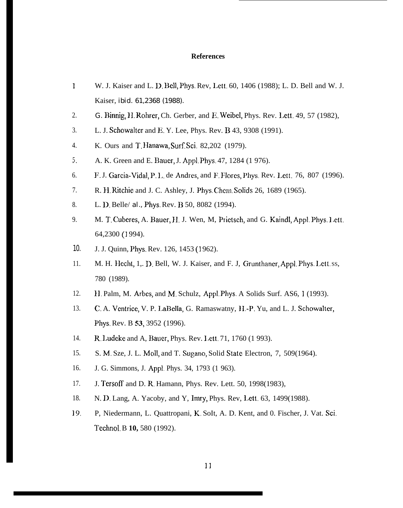## **References**

- 1 W. J. Kaiser and L. D. Bell, Phys. Rev, Lett. 60, 1406 (1988); L. D. Bell and W. J. Kaiser, *ibid. 61,2368 (1988).*
- 2. *G.* Bitmig, H. Rohrer, Ch. Gerber, and E. Weibel, Phys. Rev. I.ett. 49, 57 (1982),
- 3. L. J. Schowalter and E. Y. Lee, Phys. Rev. B 43, 9308 (1991).
- 4. K. Ours and T. Hanawa, Surf. Sci. 82,202 (1979).
- 5. A. K. Green and E. Bauer, J. App]. Phys. 47, 1284 (1 976).
- 6. F. J. Garcia-Vidal, P. L. de Andres, and F. Flores, Phys. Rev. Lett. 76, 807 (1996).
- 7. R. H. Ritchie and J. C. Ashley, J. Phys. Chcm. Solids 26, 1689 (1965).
- 8. L. D. Belle/ *al.*, *Phys. Rev. B* 50, 8082 (1994).
- 9. M. T. Cuberes, A. Bauer, 11. J. Wen, M, Prietsch, and G. Kaindl, Appl. Phys. 1,ett. 64,2300 (1 994).
- 10. J. J. Quinn, *Phys. Rev.* 126, 1453 (1962).
- 11. M. H. Hecht, 1,. D. Bell, W. J. Kaiser, and F. J, Grunthaner, Appl. Phys. Lett. ss, 780 (1989).
- 12. H. Palm, M. Arbes, and M, Schulz, Appl. Phys. A Solids Surf. AS6, 1 (1993).
- 13. C. A. Ventrice, V. P. I.aBella, G. Ramaswatny, 11,-P. Yu, and L. J. Schowalter, Phys. Rev. B S3, 3952 (1996).
- 14. R. l.udcke and A, Bauer, Phys. Rev. I.ett. 71, 1760 (1 993).
- 15. S. M, Sze, J. L. Moll, and T. Sugano, Solid State Electron, 7, 509(1964).
- 16. J. G. Simmons, J. Appl. Phys. 34, 1793 (1 963).
- 17. J. Tersoff and D. R, Hamann, Phys. Rev. Lett. 50, 1998(1983),
- 18. N. D. Lang, A. Yacoby, and Y, Imry, Phys. Rev, Lett. 63, 1499(1988).
- 19. P, Niedermann, L. Quattropani, K, SoIt, A. D. Kent, and 0. Fischer, J. Vat. Sci. Technol. B **10,** 580 (1992).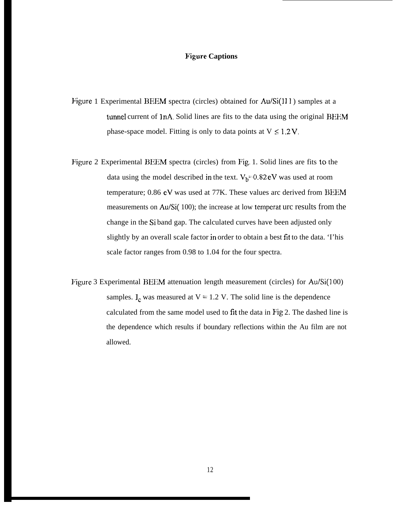## **Figure Captions**

- Figure 1 Experimental BEEM spectra (circles) obtained for Au/Si(111) samples at a tunnel current of 1nA. Solid lines are fits to the data using the original BEEM phase-space model. Fitting is only to data points at  $V \leq 1.2 V$ .
- Figure 2 Experimental BEEM spectra (circles) from Fig. 1. Solid lines are fits to the data using the model described in the text.  $V_b=0.82 \text{ eV}$  was used at room temperature; 0.86 eV was used at 77K. These values arc derived from BEEM measurements on Au/Si( 100); the increase at low temperat urc results from the change in the Si band gap. The calculated curves have been adjusted only slightly by an overall scale factor in order to obtain a best fit to the data. 'I'his scale factor ranges from 0.98 to 1.04 for the four spectra.
- Figure 3 Experimental BEEM attenuation length measurement (circles) for Au/Si(100) samples.  $I_c$  was measured at  $V = 1.2$  V. The solid line is the dependence calculated from the same model used to fit the data in Fig 2. The dashed line is the dependence which results if boundary reflections within the Au film are not allowed.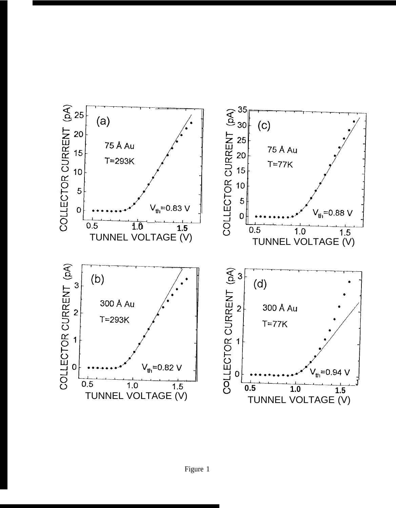

Figure 1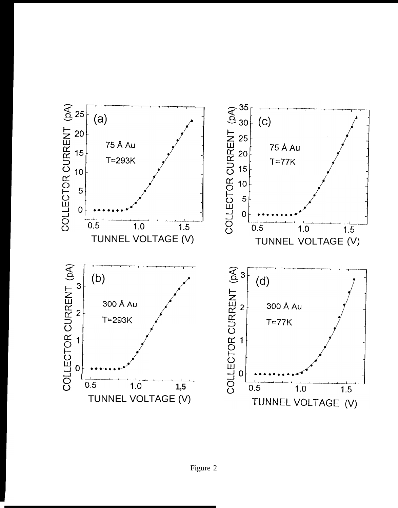

Figure 2